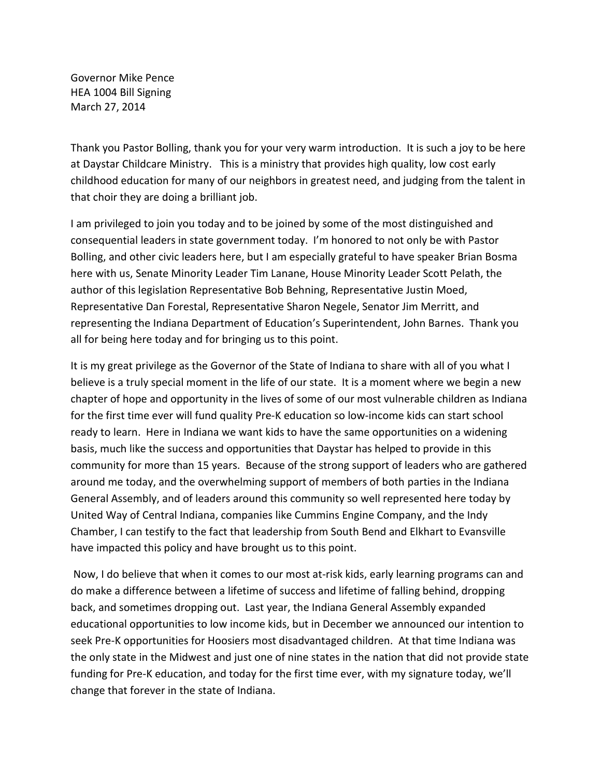Governor Mike Pence HEA 1004 Bill Signing March 27, 2014

Thank you Pastor Bolling, thank you for your very warm introduction. It is such a joy to be here at Daystar Childcare Ministry. This is a ministry that provides high quality, low cost early childhood education for many of our neighbors in greatest need, and judging from the talent in that choir they are doing a brilliant job.

I am privileged to join you today and to be joined by some of the most distinguished and consequential leaders in state government today. I'm honored to not only be with Pastor Bolling, and other civic leaders here, but I am especially grateful to have speaker Brian Bosma here with us, Senate Minority Leader Tim Lanane, House Minority Leader Scott Pelath, the author of this legislation Representative Bob Behning, Representative Justin Moed, Representative Dan Forestal, Representative Sharon Negele, Senator Jim Merritt, and representing the Indiana Department of Education's Superintendent, John Barnes. Thank you all for being here today and for bringing us to this point.

It is my great privilege as the Governor of the State of Indiana to share with all of you what I believe is a truly special moment in the life of our state. It is a moment where we begin a new chapter of hope and opportunity in the lives of some of our most vulnerable children as Indiana for the first time ever will fund quality Pre-K education so low-income kids can start school ready to learn. Here in Indiana we want kids to have the same opportunities on a widening basis, much like the success and opportunities that Daystar has helped to provide in this community for more than 15 years. Because of the strong support of leaders who are gathered around me today, and the overwhelming support of members of both parties in the Indiana General Assembly, and of leaders around this community so well represented here today by United Way of Central Indiana, companies like Cummins Engine Company, and the Indy Chamber, I can testify to the fact that leadership from South Bend and Elkhart to Evansville have impacted this policy and have brought us to this point.

Now, I do believe that when it comes to our most at-risk kids, early learning programs can and do make a difference between a lifetime of success and lifetime of falling behind, dropping back, and sometimes dropping out. Last year, the Indiana General Assembly expanded educational opportunities to low income kids, but in December we announced our intention to seek Pre-K opportunities for Hoosiers most disadvantaged children. At that time Indiana was the only state in the Midwest and just one of nine states in the nation that did not provide state funding for Pre-K education, and today for the first time ever, with my signature today, we'll change that forever in the state of Indiana.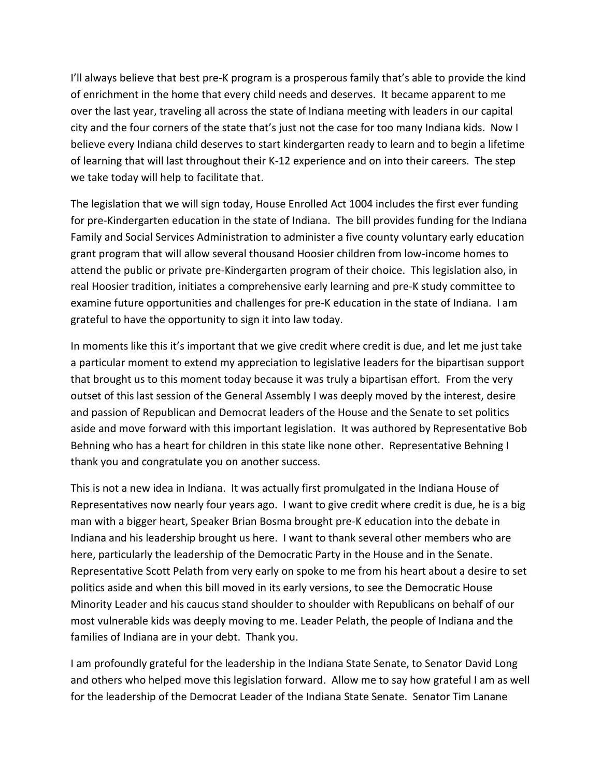I'll always believe that best pre-K program is a prosperous family that's able to provide the kind of enrichment in the home that every child needs and deserves. It became apparent to me over the last year, traveling all across the state of Indiana meeting with leaders in our capital city and the four corners of the state that's just not the case for too many Indiana kids. Now I believe every Indiana child deserves to start kindergarten ready to learn and to begin a lifetime of learning that will last throughout their K-12 experience and on into their careers. The step we take today will help to facilitate that.

The legislation that we will sign today, House Enrolled Act 1004 includes the first ever funding for pre-Kindergarten education in the state of Indiana. The bill provides funding for the Indiana Family and Social Services Administration to administer a five county voluntary early education grant program that will allow several thousand Hoosier children from low-income homes to attend the public or private pre-Kindergarten program of their choice. This legislation also, in real Hoosier tradition, initiates a comprehensive early learning and pre-K study committee to examine future opportunities and challenges for pre-K education in the state of Indiana. I am grateful to have the opportunity to sign it into law today.

In moments like this it's important that we give credit where credit is due, and let me just take a particular moment to extend my appreciation to legislative leaders for the bipartisan support that brought us to this moment today because it was truly a bipartisan effort. From the very outset of this last session of the General Assembly I was deeply moved by the interest, desire and passion of Republican and Democrat leaders of the House and the Senate to set politics aside and move forward with this important legislation. It was authored by Representative Bob Behning who has a heart for children in this state like none other. Representative Behning I thank you and congratulate you on another success.

This is not a new idea in Indiana. It was actually first promulgated in the Indiana House of Representatives now nearly four years ago. I want to give credit where credit is due, he is a big man with a bigger heart, Speaker Brian Bosma brought pre-K education into the debate in Indiana and his leadership brought us here. I want to thank several other members who are here, particularly the leadership of the Democratic Party in the House and in the Senate. Representative Scott Pelath from very early on spoke to me from his heart about a desire to set politics aside and when this bill moved in its early versions, to see the Democratic House Minority Leader and his caucus stand shoulder to shoulder with Republicans on behalf of our most vulnerable kids was deeply moving to me. Leader Pelath, the people of Indiana and the families of Indiana are in your debt. Thank you.

I am profoundly grateful for the leadership in the Indiana State Senate, to Senator David Long and others who helped move this legislation forward. Allow me to say how grateful I am as well for the leadership of the Democrat Leader of the Indiana State Senate. Senator Tim Lanane